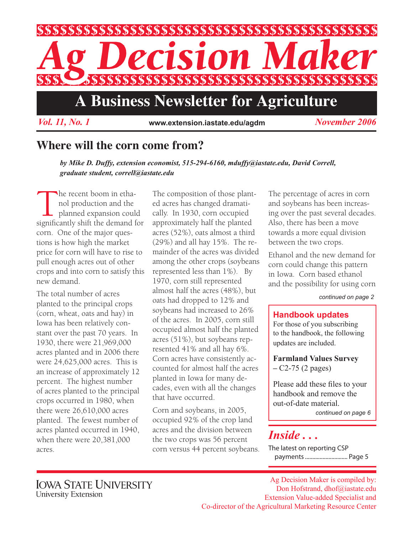

*Vol. 11, No. 1 November 2006* **www.extension.iastate.edu/agdm**

### **Where will the corn come from?**

*by Mike D. Duffy, extension economist, 515-294-6160, mduffy@iastate.edu, David Correll, graduate student, correll@iastate.edu*

The recent boom in etha-<br>
nol production and the<br>
planned expansion could<br>
significantly shift the demand for nol production and the planned expansion could corn. One of the major questions is how high the market price for corn will have to rise to pull enough acres out of other crops and into corn to satisfy this new demand.

The total number of acres planted to the principal crops (corn, wheat, oats and hay) in Iowa has been relatively constant over the past 70 years. In 1930, there were 21,969,000 acres planted and in 2006 there were 24,625,000 acres. This is an increase of approximately 12 percent. The highest number of acres planted to the principal crops occurred in 1980, when there were 26,610,000 acres planted. The fewest number of acres planted occurred in 1940, when there were 20,381,000 acres.

The composition of those planted acres has changed dramatically. In 1930, corn occupied approximately half the planted acres (52%), oats almost a third (29%) and all hay 15%. The remainder of the acres was divided among the other crops (soybeans represented less than 1%). By 1970, corn still represented almost half the acres (48%), but oats had dropped to 12% and soybeans had increased to 26% of the acres. In 2005, corn still occupied almost half the planted acres (51%), but soybeans represented 41% and all hay 6%. Corn acres have consistently accounted for almost half the acres planted in Iowa for many decades, even with all the changes that have occurred.

Corn and soybeans, in 2005, occupied 92% of the crop land acres and the division between the two crops was 56 percent corn versus 44 percent soybeans.

The percentage of acres in corn and soybeans has been increasing over the past several decades. Also, there has been a move towards a more equal division between the two crops.

Ethanol and the new demand for corn could change this pattern in Iowa. Corn based ethanol and the possibility for using corn

#### *continued on page 2*

#### **Handbook updates**

For those of you subscribing to the handbook, the following updates are included.

**Farmland Values Survey –** C2-75 (2 pages)

Please add these files to your handbook and remove the out-of-date material.

*continued on page 6*

### *Inside . . .*

The latest on reporting CSP payments............................. Page 5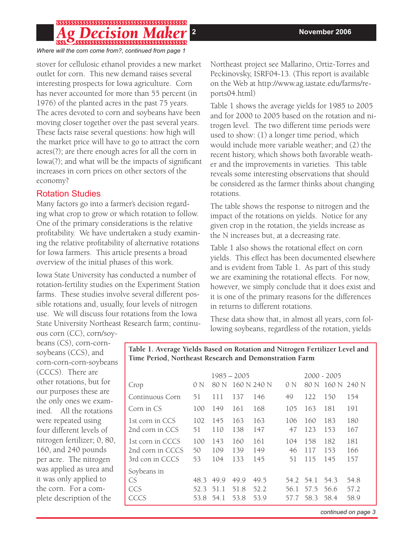# 

*Where will the corn come from?, continued from page 1*

stover for cellulosic ethanol provides a new market outlet for corn. This new demand raises several interesting prospects for Iowa agriculture. Corn has never accounted for more than 55 percent (in 1976) of the planted acres in the past 75 years. The acres devoted to corn and soybeans have been moving closer together over the past several years. These facts raise several questions: how high will the market price will have to go to attract the corn acres(?); are there enough acres for all the corn in Iowa(?); and what will be the impacts of significant increases in corn prices on other sectors of the economy?

### Rotation Studies

Many factors go into a farmer's decision regarding what crop to grow or which rotation to follow. One of the primary considerations is the relative profitability. We have undertaken a study examining the relative profitability of alternative rotations for Iowa farmers. This article presents a broad overview of the initial phases of this work.

Iowa State University has conducted a number of rotation-fertility studies on the Experiment Station farms. These studies involve several different possible rotations and, usually, four levels of nitrogen use. We will discuss four rotations from the Iowa State University Northeast Research farm; continuNortheast project see Mallarino, Ortiz-Torres and Peckinovsky, ISRF04-13. (This report is available on the Web at http://www.ag.iastate.edu/farms/reports04.html)

Table 1 shows the average yields for 1985 to 2005 and for 2000 to 2005 based on the rotation and nitrogen level. The two different time periods were used to show: (1) a longer time period, which would include more variable weather; and (2) the recent history, which shows both favorable weather and the improvements in varieties. This table reveals some interesting observations that should be considered as the farmer thinks about changing rotations.

The table shows the response to nitrogen and the impact of the rotations on yields. Notice for any given crop in the rotation, the yields increase as the N increases but, at a decreasing rate.

Table 1 also shows the rotational effect on corn yields. This effect has been documented elsewhere and is evident from Table 1. As part of this study we are examining the rotational effects. For now, however, we simply conclude that it does exist and it is one of the primary reasons for the differences in returns to different rotations.

These data show that, in almost all years, corn following soybeans, regardless of the rotation, yields

ous corn (CC), corn/soybeans (CS), corn-cornsoybeans (CCS), and corn-corn-corn-soybeans (CCCS). There are other rotations, but for our purposes these are the only ones we examined. All the rotations were repeated using four different levels of nitrogen fertilizer; 0, 80, 160, and 240 pounds per acre. The nitrogen was applied as urea and it was only applied to the corn. For a complete description of the

**Table 1. Average Yields Based on Rotation and Nitrogen Fertilizer Level and Time Period, Northeast Research and Demonstration Farm**

| Crop                                                    | 0 N                 | $1985 - 2005$<br>80 N | 160 N 240 N          |                      | 0 N                       | 80 N              | $2000 - 2005$<br>160 N 240 N |                      |
|---------------------------------------------------------|---------------------|-----------------------|----------------------|----------------------|---------------------------|-------------------|------------------------------|----------------------|
| Continuous Corn                                         | 51                  | 111                   | 137                  | 146                  | 49                        | 122               | 150                          | 154                  |
| Corn in CS                                              | 100                 | 149                   | 161                  | 168                  | 105                       | 163               | 181                          | 191                  |
| 1st corn in CCS<br>2nd corn in CCS                      | 102<br>51           | 145<br>110            | 163<br>138           | 163<br>147           | 106<br>47                 | 160<br>123        | 183<br>153                   | 180<br>167           |
| 1st corn in CCCS<br>2nd corn in CCCS<br>3rd con in CCCS | 100<br>50<br>53     | 143<br>109<br>104     | 160<br>139<br>133    | 161<br>149<br>145    | 104<br>46<br>51           | 158<br>117<br>115 | 182<br>153<br>145            | 181<br>166<br>157    |
| Soybeans in<br>CS<br>CCS<br>CCCS                        | 483<br>52.3<br>53.8 | 49.9<br>51.1<br>54.1  | 49.9<br>51.8<br>53.8 | 49.5<br>52.2<br>53.9 | 54.2 54.1<br>56.1<br>57.7 | 57.5<br>58.3      | 54.3<br>56.6<br>58.4         | 54.8<br>57.2<br>58.9 |

*continued on page 3*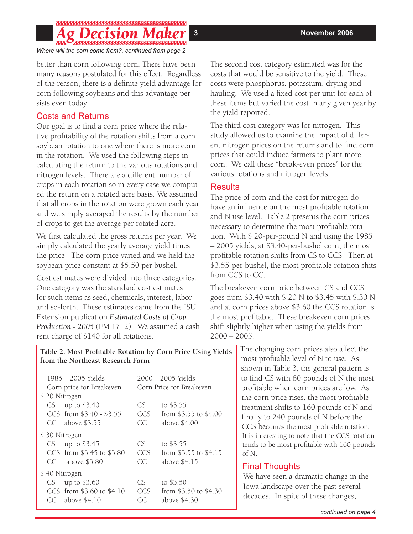## 

*Where will the corn come from?, continued from page 2*

better than corn following corn. There have been many reasons postulated for this effect. Regardless of the reason, there is a definite yield advantage for corn following soybeans and this advantage persists even today.

#### Costs and Returns

Our goal is to find a corn price where the relative profitability of the rotation shifts from a corn soybean rotation to one where there is more corn in the rotation. We used the following steps in calculating the return to the various rotations and nitrogen levels. There are a different number of crops in each rotation so in every case we computed the return on a rotated acre basis. We assumed that all crops in the rotation were grown each year and we simply averaged the results by the number of crops to get the average per rotated acre.

We first calculated the gross returns per year. We simply calculated the yearly average yield times the price. The corn price varied and we held the soybean price constant at \$5.50 per bushel.

Cost estimates were divided into three categories. One category was the standard cost estimates for such items as seed, chemicals, interest, labor and so-forth. These estimates came from the ISU Extension publication *Estimated Costs of Crop Production - 2005* (FM 1712). We assumed a cash rent charge of \$140 for all rotations.

The second cost category estimated was for the costs that would be sensitive to the yield. These costs were phosphorus, potassium, drying and hauling. We used a fixed cost per unit for each of these items but varied the cost in any given year by the yield reported.

The third cost category was for nitrogen. This study allowed us to examine the impact of different nitrogen prices on the returns and to find corn prices that could induce farmers to plant more corn. We call these "break-even prices" for the various rotations and nitrogen levels.

#### **Results**

The price of corn and the cost for nitrogen do have an influence on the most profitable rotation and N use level. Table 2 presents the corn prices necessary to determine the most profitable rotation. With \$.20-per-pound N and using the 1985 – 2005 yields, at \$3.40-per-bushel corn, the most profitable rotation shifts from CS to CCS. Then at \$3.55-per-bushel, the most profitable rotation shits from CCS to CC.

The breakeven corn price between CS and CCS goes from \$3.40 with \$.20 N to \$3.45 with \$.30 N and at corn prices above \$3.60 the CCS rotation is the most profitable. These breakeven corn prices shift slightly higher when using the yields from  $2000 - 2005$ .

> The changing corn prices also affect the most profitable level of N to use. As shown in Table 3, the general pattern is to find CS with 80 pounds of N the most profitable when corn prices are low. As the corn price rises, the most profitable treatment shifts to 160 pounds of N and finally to 240 pounds of N before the CCS becomes the most profitable rotation. It is interesting to note that the CCS rotation tends to be most profitable with 160 pounds of N.

### Final Thoughts

We have seen a dramatic change in the Iowa landscape over the past several decades. In spite of these changes,

**Table 2. Most Profitable Rotation by Corn Price Using Yields from the Northeast Research Farm**

| $1985 - 2005$ Yields<br>Corn price for Breakeven                                      | 2000 - 2005 Yields<br>Corn Price for Breakeven |                                                    |  |  |
|---------------------------------------------------------------------------------------|------------------------------------------------|----------------------------------------------------|--|--|
| \$.20 Nitrogen<br>$CS$ up to \$3.40<br>CCS from \$3.40 - \$3.55<br>$CC$ above \$3.55  | CS.<br>CCS<br>C.C.                             | to \$3.55<br>from \$3.55 to \$4.00<br>above \$4.00 |  |  |
| \$.30 Nitrogen<br>up to \$3.45<br>CS<br>CCS from \$3.45 to \$3.80<br>CC above \$3.80  | CS.<br>CCS<br>C.C.                             | to \$3.55<br>from \$3.55 to \$4.15<br>above \$4.15 |  |  |
| \$.40 Nitrogen<br>up to \$3.60<br>CS.<br>CCS from \$3.60 to \$4.10<br>CC above \$4.10 | CS<br>CCS<br>CC                                | to \$3.50<br>from \$3.50 to \$4.30<br>above \$4.30 |  |  |